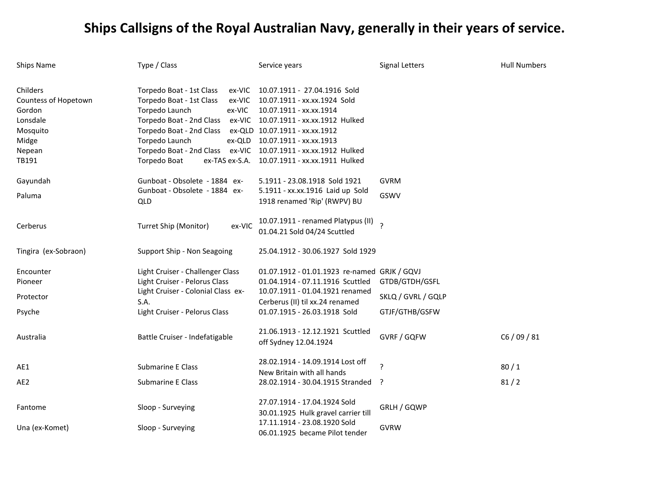| Ships Name                                                                  | Type / Class                                                                                                                                                                                       | Service years                                                                                                                                                                          | Signal Letters           | <b>Hull Numbers</b> |
|-----------------------------------------------------------------------------|----------------------------------------------------------------------------------------------------------------------------------------------------------------------------------------------------|----------------------------------------------------------------------------------------------------------------------------------------------------------------------------------------|--------------------------|---------------------|
| Childers<br>Countess of Hopetown<br>Gordon<br>Lonsdale<br>Mosquito<br>Midge | Torpedo Boat - 1st Class<br>ex-VIC<br>Torpedo Boat - 1st Class<br>ex-VIC<br>Torpedo Launch<br>ex-VIC<br>Torpedo Boat - 2nd Class<br>ex-VIC<br>Torpedo Boat - 2nd Class<br>Torpedo Launch<br>ex-QLD | 10.07.1911 - 27.04.1916 Sold<br>10.07.1911 - xx.xx.1924 Sold<br>10.07.1911 - xx.xx.1914<br>10.07.1911 - xx.xx.1912 Hulked<br>ex-QLD 10.07.1911 - xx.xx.1912<br>10.07.1911 - xx.xx.1913 |                          |                     |
| Nepean                                                                      | Torpedo Boat - 2nd Class                                                                                                                                                                           | ex-VIC 10.07.1911 - xx.xx.1912 Hulked                                                                                                                                                  |                          |                     |
| TB191                                                                       | Torpedo Boat<br>ex-TAS ex-S.A.                                                                                                                                                                     | 10.07.1911 - xx.xx.1911 Hulked                                                                                                                                                         |                          |                     |
| Gayundah                                                                    | Gunboat - Obsolete - 1884 ex-                                                                                                                                                                      | 5.1911 - 23.08.1918 Sold 1921                                                                                                                                                          | <b>GVRM</b>              |                     |
| Paluma                                                                      | Gunboat - Obsolete - 1884 ex-<br><b>QLD</b>                                                                                                                                                        | 5.1911 - xx.xx.1916 Laid up Sold<br>1918 renamed 'Rip' (RWPV) BU                                                                                                                       | GSWV                     |                     |
| Cerberus                                                                    | Turret Ship (Monitor)<br>ex-VIC                                                                                                                                                                    | 10.07.1911 - renamed Platypus (II)<br>01.04.21 Sold 04/24 Scuttled                                                                                                                     | $\overline{\phantom{a}}$ |                     |
| Tingira (ex-Sobraon)                                                        | Support Ship - Non Seagoing                                                                                                                                                                        | 25.04.1912 - 30.06.1927 Sold 1929                                                                                                                                                      |                          |                     |
| Encounter                                                                   | Light Cruiser - Challenger Class                                                                                                                                                                   | 01.07.1912 - 01.01.1923 re-named GRJK / GQVJ                                                                                                                                           |                          |                     |
| Pioneer                                                                     | Light Cruiser - Pelorus Class                                                                                                                                                                      | 01.04.1914 - 07.11.1916 Scuttled                                                                                                                                                       | GTDB/GTDH/GSFL           |                     |
| Protector                                                                   | Light Cruiser - Colonial Class ex-<br>S.A.                                                                                                                                                         | 10.07.1911 - 01.04.1921 renamed<br>Cerberus (II) til xx.24 renamed                                                                                                                     | SKLQ / GVRL / GQLP       |                     |
| Psyche                                                                      | Light Cruiser - Pelorus Class                                                                                                                                                                      | 01.07.1915 - 26.03.1918 Sold                                                                                                                                                           | GTJF/GTHB/GSFW           |                     |
| Australia                                                                   | Battle Cruiser - Indefatigable                                                                                                                                                                     | 21.06.1913 - 12.12.1921 Scuttled<br>off Sydney 12.04.1924                                                                                                                              | <b>GVRF / GQFW</b>       | C6/09/81            |
| AE1                                                                         | Submarine E Class                                                                                                                                                                                  | 28.02.1914 - 14.09.1914 Lost off<br>New Britain with all hands                                                                                                                         | ?                        | 80/1                |
| AE2                                                                         | <b>Submarine E Class</b>                                                                                                                                                                           | 28.02.1914 - 30.04.1915 Stranded                                                                                                                                                       | - ?                      | 81/2                |
| Fantome                                                                     | Sloop - Surveying                                                                                                                                                                                  | 27.07.1914 - 17.04.1924 Sold<br>30.01.1925 Hulk gravel carrier till                                                                                                                    | GRLH / GQWP              |                     |
| Una (ex-Komet)                                                              | Sloop - Surveying                                                                                                                                                                                  | 17.11.1914 - 23.08.1920 Sold<br>06.01.1925 became Pilot tender                                                                                                                         | <b>GVRW</b>              |                     |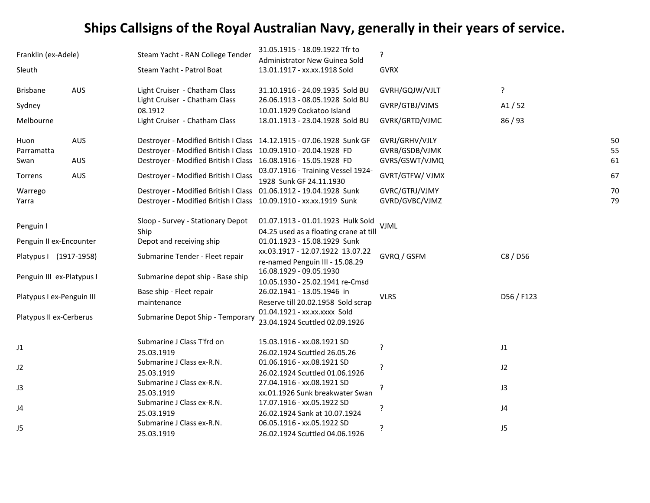| Franklin (ex-Adele)       |            | Steam Yacht - RAN College Tender                                     | 31.05.1915 - 18.09.1922 Tfr to<br>Administrator New Guinea Sold | ?               |            |  |
|---------------------------|------------|----------------------------------------------------------------------|-----------------------------------------------------------------|-----------------|------------|--|
| Sleuth                    |            | Steam Yacht - Patrol Boat                                            | 13.01.1917 - xx.xx.1918 Sold                                    | <b>GVRX</b>     |            |  |
| <b>Brisbane</b>           | <b>AUS</b> | Light Cruiser - Chatham Class                                        | 31.10.1916 - 24.09.1935 Sold BU                                 | GVRH/GQJW/VJLT  | ?          |  |
| Sydney                    |            | Light Cruiser - Chatham Class<br>08.1912                             | 26.06.1913 - 08.05.1928 Sold BU<br>10.01.1929 Cockatoo Island   | GVRP/GTBJ/VJMS  | A1/52      |  |
| Melbourne                 |            | Light Cruiser - Chatham Class                                        | 18.01.1913 - 23.04.1928 Sold BU                                 | GVRK/GRTD/VJMC  | 86 / 93    |  |
| Huon                      | AUS        | Destroyer - Modified British I Class 14.12.1915 - 07.06.1928 Sunk GF |                                                                 | GVRJ/GRHV/VJLY  | 50         |  |
| Parramatta                |            | Destroyer - Modified British I Class 10.09.1910 - 20.04.1928 FD      |                                                                 | GVRB/GSDB/VJMK  | 55         |  |
| Swan                      | AUS        | Destroyer - Modified British I Class 16.08.1916 - 15.05.1928 FD      |                                                                 | GVRS/GSWT/VJMQ  | 61         |  |
| Torrens                   | <b>AUS</b> | Destroyer - Modified British I Class                                 | 03.07.1916 - Training Vessel 1924-<br>1928 Sunk GF 24.11.1930   | GVRT/GTFW/ VJMX | 67         |  |
| Warrego                   |            | Destroyer - Modified British I Class 01.06.1912 - 19.04.1928 Sunk    |                                                                 | GVRC/GTRJ/VJMY  | 70         |  |
| Yarra                     |            | Destroyer - Modified British I Class 10.09.1910 - xx.xx.1919 Sunk    |                                                                 | GVRD/GVBC/VJMZ  | 79         |  |
| Penguin I                 |            | Sloop - Survey - Stationary Depot                                    | 01.07.1913 - 01.01.1923 Hulk Sold                               | <b>VJML</b>     |            |  |
|                           |            | Ship                                                                 | 04.25 used as a floating crane at till                          |                 |            |  |
| Penguin II ex-Encounter   |            | Depot and receiving ship                                             | 01.01.1923 - 15.08.1929 Sunk                                    |                 |            |  |
| Platypus I (1917-1958)    |            | Submarine Tender - Fleet repair                                      | xx.03.1917 - 12.07.1922 13.07.22                                | GVRQ / GSFM     | C8 / D56   |  |
|                           |            |                                                                      | re-named Penguin III - 15.08.29                                 |                 |            |  |
| Penguin III ex-Platypus I |            | Submarine depot ship - Base ship                                     | 16.08.1929 - 09.05.1930                                         |                 |            |  |
|                           |            |                                                                      | 10.05.1930 - 25.02.1941 re-Cmsd                                 |                 |            |  |
| Platypus I ex-Penguin III |            | Base ship - Fleet repair                                             | 26.02.1941 - 13.05.1946 in                                      | <b>VLRS</b>     | D56 / F123 |  |
|                           |            | maintenance                                                          | Reserve till 20.02.1958 Sold scrap                              |                 |            |  |
| Platypus II ex-Cerberus   |            | Submarine Depot Ship - Temporary                                     | 01.04.1921 - xx.xx.xxxx Sold                                    |                 |            |  |
|                           |            |                                                                      | 23.04.1924 Scuttled 02.09.1926                                  |                 |            |  |
| J1                        |            | Submarine J Class T'frd on                                           | 15.03.1916 - xx.08.1921 SD                                      | 5               | $\sf J1$   |  |
|                           |            | 25.03.1919                                                           | 26.02.1924 Scuttled 26.05.26                                    |                 |            |  |
| J2                        |            | Submarine J Class ex-R.N.                                            | 01.06.1916 - xx.08.1921 SD                                      | ?               | J2         |  |
|                           |            | 25.03.1919                                                           | 26.02.1924 Scuttled 01.06.1926                                  |                 |            |  |
| J3                        |            | Submarine J Class ex-R.N.                                            | 27.04.1916 - xx.08.1921 SD                                      |                 | J3         |  |
|                           |            | 25.03.1919                                                           | xx.01.1926 Sunk breakwater Swan                                 |                 |            |  |
| J4                        |            | Submarine J Class ex-R.N.                                            | 17.07.1916 - xx.05.1922 SD                                      | 5               | J4         |  |
|                           |            | 25.03.1919                                                           | 26.02.1924 Sank at 10.07.1924                                   |                 |            |  |
| J5                        |            | Submarine J Class ex-R.N.                                            | 06.05.1916 - xx.05.1922 SD                                      | ?               | J5         |  |
|                           |            | 25.03.1919                                                           | 26.02.1924 Scuttled 04.06.1926                                  |                 |            |  |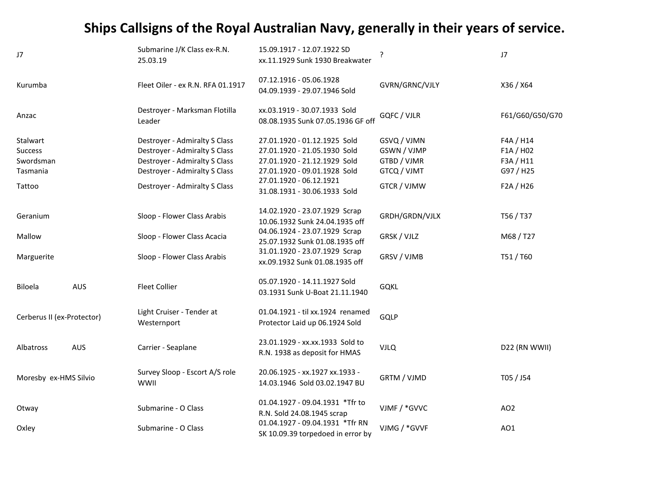| J7                         |            | Submarine J/K Class ex-R.N.<br>25.03.19       | 15.09.1917 - 12.07.1922 SD<br>xx.11.1929 Sunk 1930 Breakwater        | ?              | J7              |
|----------------------------|------------|-----------------------------------------------|----------------------------------------------------------------------|----------------|-----------------|
| Kurumba                    |            | Fleet Oiler - ex R.N. RFA 01.1917             | 07.12.1916 - 05.06.1928<br>04.09.1939 - 29.07.1946 Sold              | GVRN/GRNC/VJLY | X36 / X64       |
| Anzac                      |            | Destroyer - Marksman Flotilla<br>Leader       | xx.03.1919 - 30.07.1933 Sold<br>08.08.1935 Sunk 07.05.1936 GF off    | GQFC / VJLR    | F61/G60/G50/G70 |
| Stalwart                   |            | Destroyer - Admiralty S Class                 | 27.01.1920 - 01.12.1925 Sold                                         | GSVQ / VJMN    | F4A / H14       |
| <b>Success</b>             |            | Destroyer - Admiralty S Class                 | 27.01.1920 - 21.05.1930 Sold                                         | GSWN / VJMP    | F1A / H02       |
| Swordsman                  |            | Destroyer - Admiralty S Class                 | 27.01.1920 - 21.12.1929 Sold                                         | GTBD / VJMR    | F3A / H11       |
| Tasmania                   |            | Destroyer - Admiralty S Class                 | 27.01.1920 - 09.01.1928 Sold                                         | GTCQ / VJMT    | G97 / H25       |
| Tattoo                     |            | Destroyer - Admiralty S Class                 | 27.01.1920 - 06.12.1921<br>31.08.1931 - 30.06.1933 Sold              | GTCR / VJMW    | F2A / H26       |
| Geranium                   |            | Sloop - Flower Class Arabis                   | 14.02.1920 - 23.07.1929 Scrap<br>10.06.1932 Sunk 24.04.1935 off      | GRDH/GRDN/VJLX | T56 / T37       |
| Mallow                     |            | Sloop - Flower Class Acacia                   | 04.06.1924 - 23.07.1929 Scrap<br>25.07.1932 Sunk 01.08.1935 off      | GRSK / VJLZ    | M68/T27         |
| Marguerite                 |            | Sloop - Flower Class Arabis                   | 31.01.1920 - 23.07.1929 Scrap<br>xx.09.1932 Sunk 01.08.1935 off      | GRSV / VJMB    | T51/T60         |
| Biloela                    | <b>AUS</b> | <b>Fleet Collier</b>                          | 05.07.1920 - 14.11.1927 Sold<br>03.1931 Sunk U-Boat 21.11.1940       | <b>GQKL</b>    |                 |
| Cerberus II (ex-Protector) |            | Light Cruiser - Tender at<br>Westernport      | 01.04.1921 - til xx.1924 renamed<br>Protector Laid up 06.1924 Sold   | GQLP           |                 |
| Albatross                  | AUS        | Carrier - Seaplane                            | 23.01.1929 - xx.xx.1933 Sold to<br>R.N. 1938 as deposit for HMAS     | <b>VJLQ</b>    | D22 (RN WWII)   |
| Moresby ex-HMS Silvio      |            | Survey Sloop - Escort A/S role<br><b>WWII</b> | 20.06.1925 - xx.1927 xx.1933 -<br>14.03.1946 Sold 03.02.1947 BU      | GRTM / VJMD    | T05 / J54       |
| Otway                      |            | Submarine - O Class                           | 01.04.1927 - 09.04.1931 *Tfr to<br>R.N. Sold 24.08.1945 scrap        | VJMF / *GVVC   | AO <sub>2</sub> |
| Oxley                      |            | Submarine - O Class                           | 01.04.1927 - 09.04.1931 *Tfr RN<br>SK 10.09.39 torpedoed in error by | VJMG / *GVVF   | AO1             |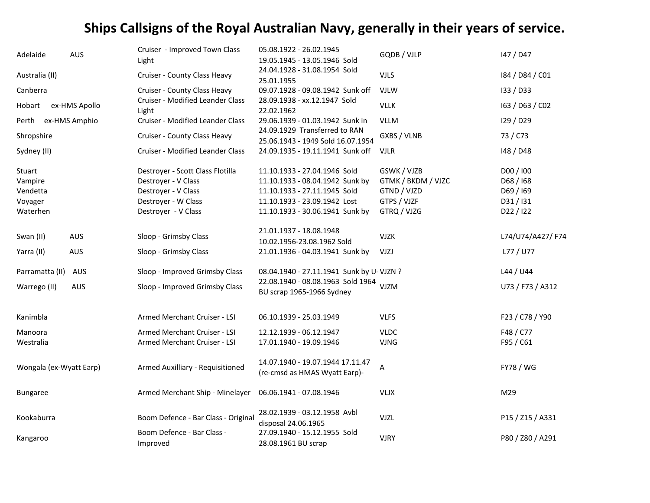| Adelaide                                 | <b>AUS</b>    | Cruiser - Improved Town Class<br>Light                                                                | 05.08.1922 - 26.02.1945<br>19.05.1945 - 13.05.1946 Sold                                                                         | GQDB / VJLP                                                     | 147 / D47                                      |
|------------------------------------------|---------------|-------------------------------------------------------------------------------------------------------|---------------------------------------------------------------------------------------------------------------------------------|-----------------------------------------------------------------|------------------------------------------------|
| Australia (II)                           |               | Cruiser - County Class Heavy                                                                          | 24.04.1928 - 31.08.1954 Sold<br>25.01.1955                                                                                      | <b>VJLS</b>                                                     | 184 / D84 / C01                                |
| Canberra                                 |               | Cruiser - County Class Heavy                                                                          | 09.07.1928 - 09.08.1942 Sunk off                                                                                                | <b>VJLW</b>                                                     | 133 / D33                                      |
| Hobart                                   | ex-HMS Apollo | <b>Cruiser - Modified Leander Class</b><br>Light                                                      | 28.09.1938 - xx.12.1947 Sold<br>22.02.1962                                                                                      | <b>VLLK</b>                                                     | 163 / D63 / C02                                |
| Perth                                    | ex-HMS Amphio | Cruiser - Modified Leander Class                                                                      | 29.06.1939 - 01.03.1942 Sunk in                                                                                                 | <b>VLLM</b>                                                     | I29 / D29                                      |
| Shropshire                               |               | Cruiser - County Class Heavy                                                                          | 24.09.1929 Transferred to RAN<br>25.06.1943 - 1949 Sold 16.07.1954                                                              | GXBS / VLNB                                                     | 73 / C73                                       |
| Sydney (II)                              |               | Cruiser - Modified Leander Class                                                                      | 24.09.1935 - 19.11.1941 Sunk off                                                                                                | <b>VJLR</b>                                                     | 148 / D48                                      |
| Stuart<br>Vampire<br>Vendetta<br>Voyager |               | Destroyer - Scott Class Flotilla<br>Destroyer - V Class<br>Destroyer - V Class<br>Destroyer - W Class | 11.10.1933 - 27.04.1946 Sold<br>11.10.1933 - 08.04.1942 Sunk by<br>11.10.1933 - 27.11.1945 Sold<br>11.10.1933 - 23.09.1942 Lost | GSWK / VJZB<br>GTMK / BKDM / VJZC<br>GTND / VJZD<br>GTPS / VJZF | D00 / 100<br>D68 / 168<br>D69 / 169<br>D31/I31 |
| Waterhen                                 |               | Destroyer - V Class                                                                                   | 11.10.1933 - 30.06.1941 Sunk by                                                                                                 | GTRQ / VJZG                                                     | D22 / I22                                      |
| Swan (II)                                | AUS           | Sloop - Grimsby Class                                                                                 | 21.01.1937 - 18.08.1948<br>10.02.1956-23.08.1962 Sold                                                                           | <b>VJZK</b>                                                     | L74/U74/A427/F74                               |
| Yarra (II)                               | AUS           | Sloop - Grimsby Class                                                                                 | 21.01.1936 - 04.03.1941 Sunk by                                                                                                 | VJZJ                                                            | L77 / U77                                      |
| Parramatta (II)                          | AUS           | Sloop - Improved Grimsby Class                                                                        | 08.04.1940 - 27.11.1941 Sunk by U-VJZN ?                                                                                        |                                                                 | L44 / U44                                      |
| Warrego (II)                             | <b>AUS</b>    | Sloop - Improved Grimsby Class                                                                        | 22.08.1940 - 08.08.1963 Sold 1964<br>BU scrap 1965-1966 Sydney                                                                  | <b>VJZM</b>                                                     | U73 / F73 / A312                               |
| Kanimbla                                 |               | Armed Merchant Cruiser - LSI                                                                          | 06.10.1939 - 25.03.1949                                                                                                         | <b>VLFS</b>                                                     | F23 / C78 / Y90                                |
| Manoora<br>Westralia                     |               | Armed Merchant Cruiser - LSI<br>Armed Merchant Cruiser - LSI                                          | 12.12.1939 - 06.12.1947<br>17.01.1940 - 19.09.1946                                                                              | <b>VLDC</b><br><b>VJNG</b>                                      | F48 / C77<br>F95 / C61                         |
| Wongala (ex-Wyatt Earp)                  |               | Armed Auxilliary - Requisitioned                                                                      | 14.07.1940 - 19.07.1944 17.11.47<br>(re-cmsd as HMAS Wyatt Earp)-                                                               | Α                                                               | <b>FY78 / WG</b>                               |
| <b>Bungaree</b>                          |               | Armed Merchant Ship - Minelayer                                                                       | 06.06.1941 - 07.08.1946                                                                                                         | <b>VLJX</b>                                                     | M29                                            |
| Kookaburra                               |               | Boom Defence - Bar Class - Original                                                                   | 28.02.1939 - 03.12.1958 Avbl<br>disposal 24.06.1965                                                                             | <b>VJZL</b>                                                     | P15 / Z15 / A331                               |
| Kangaroo                                 |               | Boom Defence - Bar Class -<br>Improved                                                                | 27.09.1940 - 15.12.1955 Sold<br>28.08.1961 BU scrap                                                                             | <b>VJRY</b>                                                     | P80 / Z80 / A291                               |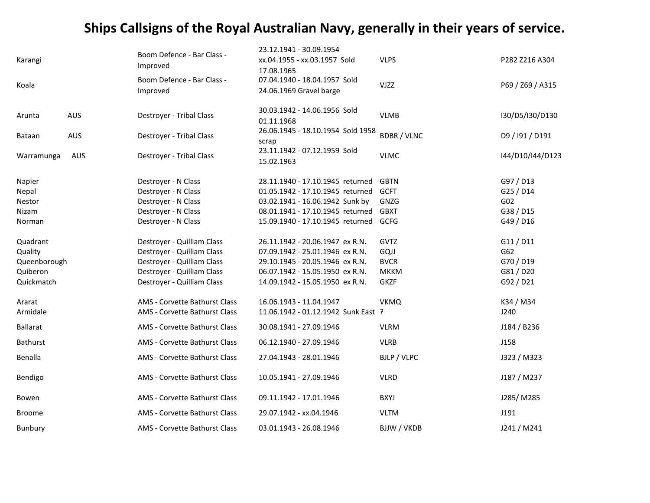|                 |            | Boom Defence - Bar Class -    | 23.12.1941 - 30.09.1954                    |                    |                  |
|-----------------|------------|-------------------------------|--------------------------------------------|--------------------|------------------|
| Karangi         |            | Improved                      | xx.04.1955 - xx.03.1957 Sold               | <b>VLPS</b>        | P282 Z216 A304   |
|                 |            | Boom Defence - Bar Class -    | 17.08.1965<br>07.04.1940 - 18.04.1957 Sold |                    |                  |
| Koala           |            | Improved                      | 24.06.1969 Gravel barge                    | <b>VJZZ</b>        | P69 / Z69 / A315 |
|                 |            |                               | 30.03.1942 - 14.06.1956 Sold               |                    |                  |
| Arunta          | <b>AUS</b> | Destroyer - Tribal Class      | 01.11.1968                                 | <b>VLMB</b>        | I30/D5/I30/D130  |
| Bataan          | AUS        | Destroyer - Tribal Class      | 26.06.1945 - 18.10.1954 Sold 1958<br>scrap | <b>BDBR / VLNC</b> | D9 / 191 / D191  |
| Warramunga      | AUS        | Destroyer - Tribal Class      | 23.11.1942 - 07.12.1959 Sold<br>15.02.1963 | <b>VLMC</b>        | I44/D10/I44/D123 |
| Napier          |            | Destroyer - N Class           | 28.11.1940 - 17.10.1945 returned           | <b>GBTN</b>        | G97 / D13        |
| Nepal           |            | Destroyer - N Class           | 01.05.1942 - 17.10.1945 returned           | <b>GCFT</b>        | G25 / D14        |
| Nestor          |            | Destroyer - N Class           | 03.02.1941 - 16.06.1942 Sunk by            | GNZG               | G02              |
| Nizam           |            | Destroyer - N Class           | 08.01.1941 - 17.10.1945 returned           | <b>GBXT</b>        | G38 / D15        |
| Norman          |            | Destroyer - N Class           | 15.09.1940 - 17.10.1945 returned           | GCFG               | G49 / D16        |
| Quadrant        |            | Destroyer - Quilliam Class    | 26.11.1942 - 20.06.1947 ex R.N.            | GVTZ               | G11 / D11        |
| Quality         |            | Destroyer - Quilliam Class    | 07.09.1942 - 25.01.1946 ex R.N.            | GQJJ               | G62              |
| Queenborough    |            | Destroyer - Quilliam Class    | 29.10.1945 - 20.05.1946 ex R.N.            | <b>BVCR</b>        | G70 / D19        |
| Quiberon        |            | Destroyer - Quilliam Class    | 06.07.1942 - 15.05.1950 ex R.N.            | <b>MKKM</b>        | G81 / D20        |
| Quickmatch      |            | Destroyer - Quilliam Class    | 14.09.1942 - 15.05.1950 ex R.N.            | <b>GKZF</b>        | G92 / D21        |
| Ararat          |            | AMS - Corvette Bathurst Class | 16.06.1943 - 11.04.1947                    | <b>VKMQ</b>        | K34 / M34        |
| Armidale        |            | AMS - Corvette Bathurst Class | 11.06.1942 - 01.12.1942 Sunk East ?        |                    | J240             |
| <b>Ballarat</b> |            | AMS - Corvette Bathurst Class | 30.08.1941 - 27.09.1946                    | <b>VLRM</b>        | J184 / B236      |
| Bathurst        |            | AMS - Corvette Bathurst Class | 06.12.1940 - 27.09.1946                    | <b>VLRB</b>        | J158             |
| Benalla         |            | AMS - Corvette Bathurst Class | 27.04.1943 - 28.01.1946                    | BJLP / VLPC        | J323 / M323      |
| Bendigo         |            | AMS - Corvette Bathurst Class | 10.05.1941 - 27.09.1946                    | <b>VLRD</b>        | J187 / M237      |
| Bowen           |            | AMS - Corvette Bathurst Class | 09.11.1942 - 17.01.1946                    | <b>BXYJ</b>        | J285/M285        |
| <b>Broome</b>   |            | AMS - Corvette Bathurst Class | 29.07.1942 - xx.04.1946                    | <b>VLTM</b>        | J191             |
| Bunbury         |            | AMS - Corvette Bathurst Class | 03.01.1943 - 26.08.1946                    | <b>BJJW / VKDB</b> | J241 / M241      |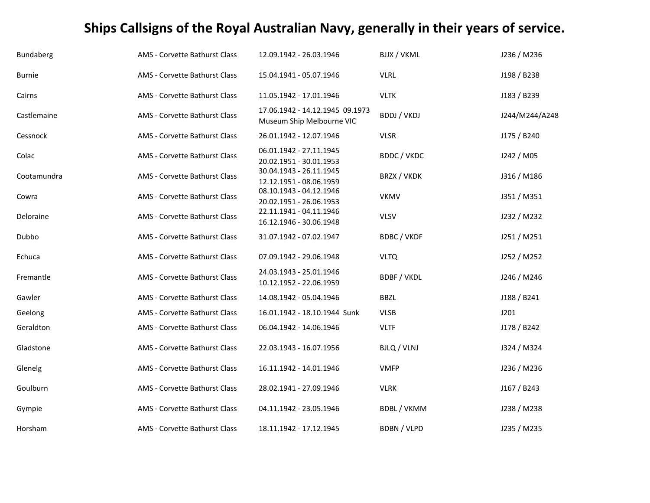| <b>Bundaberg</b> | AMS - Corvette Bathurst Class | 12.09.1942 - 26.03.1946                                      | <b>BJJX / VKML</b> | J236 / M236    |
|------------------|-------------------------------|--------------------------------------------------------------|--------------------|----------------|
| <b>Burnie</b>    | AMS - Corvette Bathurst Class | 15.04.1941 - 05.07.1946                                      | <b>VLRL</b>        | J198 / B238    |
| Cairns           | AMS - Corvette Bathurst Class | 11.05.1942 - 17.01.1946                                      | <b>VLTK</b>        | J183 / B239    |
| Castlemaine      | AMS - Corvette Bathurst Class | 17.06.1942 - 14.12.1945 09.1973<br>Museum Ship Melbourne VIC | <b>BDDJ / VKDJ</b> | J244/M244/A248 |
| Cessnock         | AMS - Corvette Bathurst Class | 26.01.1942 - 12.07.1946                                      | <b>VLSR</b>        | J175 / B240    |
| Colac            | AMS - Corvette Bathurst Class | 06.01.1942 - 27.11.1945<br>20.02.1951 - 30.01.1953           | BDDC / VKDC        | J242 / M05     |
| Cootamundra      | AMS - Corvette Bathurst Class | 30.04.1943 - 26.11.1945<br>12.12.1951 - 08.06.1959           | BRZX / VKDK        | J316 / M186    |
| Cowra            | AMS - Corvette Bathurst Class | 08.10.1943 - 04.12.1946<br>20.02.1951 - 26.06.1953           | <b>VKMV</b>        | J351 / M351    |
| Deloraine        | AMS - Corvette Bathurst Class | 22.11.1941 - 04.11.1946<br>16.12.1946 - 30.06.1948           | <b>VLSV</b>        | J232 / M232    |
| Dubbo            | AMS - Corvette Bathurst Class | 31.07.1942 - 07.02.1947                                      | <b>BDBC / VKDF</b> | J251 / M251    |
| Echuca           | AMS - Corvette Bathurst Class | 07.09.1942 - 29.06.1948                                      | <b>VLTQ</b>        | J252 / M252    |
| Fremantle        | AMS - Corvette Bathurst Class | 24.03.1943 - 25.01.1946<br>10.12.1952 - 22.06.1959           | <b>BDBF / VKDL</b> | J246 / M246    |
| Gawler           | AMS - Corvette Bathurst Class | 14.08.1942 - 05.04.1946                                      | <b>BBZL</b>        | J188 / B241    |
| Geelong          | AMS - Corvette Bathurst Class | 16.01.1942 - 18.10.1944 Sunk                                 | <b>VLSB</b>        | J201           |
| Geraldton        | AMS - Corvette Bathurst Class | 06.04.1942 - 14.06.1946                                      | <b>VLTF</b>        | J178 / B242    |
| Gladstone        | AMS - Corvette Bathurst Class | 22.03.1943 - 16.07.1956                                      | BJLQ / VLNJ        | J324 / M324    |
| Glenelg          | AMS - Corvette Bathurst Class | 16.11.1942 - 14.01.1946                                      | <b>VMFP</b>        | J236 / M236    |
| Goulburn         | AMS - Corvette Bathurst Class | 28.02.1941 - 27.09.1946                                      | <b>VLRK</b>        | J167 / B243    |
| Gympie           | AMS - Corvette Bathurst Class | 04.11.1942 - 23.05.1946                                      | <b>BDBL / VKMM</b> | J238 / M238    |
| Horsham          | AMS - Corvette Bathurst Class | 18.11.1942 - 17.12.1945                                      | <b>BDBN / VLPD</b> | J235 / M235    |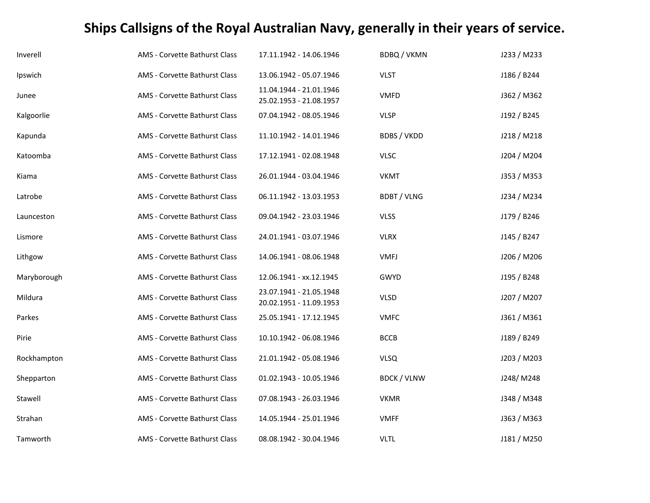| Inverell    | AMS - Corvette Bathurst Class | 17.11.1942 - 14.06.1946                            | <b>BDBQ/VKMN</b>   | J233 / M233 |
|-------------|-------------------------------|----------------------------------------------------|--------------------|-------------|
| Ipswich     | AMS - Corvette Bathurst Class | 13.06.1942 - 05.07.1946                            | <b>VLST</b>        | J186 / B244 |
| Junee       | AMS - Corvette Bathurst Class | 11.04.1944 - 21.01.1946<br>25.02.1953 - 21.08.1957 | <b>VMFD</b>        | J362 / M362 |
| Kalgoorlie  | AMS - Corvette Bathurst Class | 07.04.1942 - 08.05.1946                            | <b>VLSP</b>        | J192 / B245 |
| Kapunda     | AMS - Corvette Bathurst Class | 11.10.1942 - 14.01.1946                            | <b>BDBS / VKDD</b> | J218 / M218 |
| Katoomba    | AMS - Corvette Bathurst Class | 17.12.1941 - 02.08.1948                            | <b>VLSC</b>        | J204 / M204 |
| Kiama       | AMS - Corvette Bathurst Class | 26.01.1944 - 03.04.1946                            | <b>VKMT</b>        | J353 / M353 |
| Latrobe     | AMS - Corvette Bathurst Class | 06.11.1942 - 13.03.1953                            | <b>BDBT / VLNG</b> | J234 / M234 |
| Launceston  | AMS - Corvette Bathurst Class | 09.04.1942 - 23.03.1946                            | <b>VLSS</b>        | J179 / B246 |
| Lismore     | AMS - Corvette Bathurst Class | 24.01.1941 - 03.07.1946                            | <b>VLRX</b>        | J145 / B247 |
| Lithgow     | AMS - Corvette Bathurst Class | 14.06.1941 - 08.06.1948                            | <b>VMFJ</b>        | J206 / M206 |
| Maryborough | AMS - Corvette Bathurst Class | 12.06.1941 - xx.12.1945                            | GWYD               | J195 / B248 |
| Mildura     | AMS - Corvette Bathurst Class | 23.07.1941 - 21.05.1948<br>20.02.1951 - 11.09.1953 | <b>VLSD</b>        | J207 / M207 |
| Parkes      | AMS - Corvette Bathurst Class | 25.05.1941 - 17.12.1945                            | <b>VMFC</b>        | J361 / M361 |
| Pirie       | AMS - Corvette Bathurst Class | 10.10.1942 - 06.08.1946                            | <b>BCCB</b>        | J189 / B249 |
| Rockhampton | AMS - Corvette Bathurst Class | 21.01.1942 - 05.08.1946                            | <b>VLSQ</b>        | J203 / M203 |
| Shepparton  | AMS - Corvette Bathurst Class | 01.02.1943 - 10.05.1946                            | <b>BDCK / VLNW</b> | J248/M248   |
| Stawell     | AMS - Corvette Bathurst Class | 07.08.1943 - 26.03.1946                            | <b>VKMR</b>        | J348 / M348 |
| Strahan     | AMS - Corvette Bathurst Class | 14.05.1944 - 25.01.1946                            | <b>VMFF</b>        | J363 / M363 |
| Tamworth    | AMS - Corvette Bathurst Class | 08.08.1942 - 30.04.1946                            | <b>VLTL</b>        | J181 / M250 |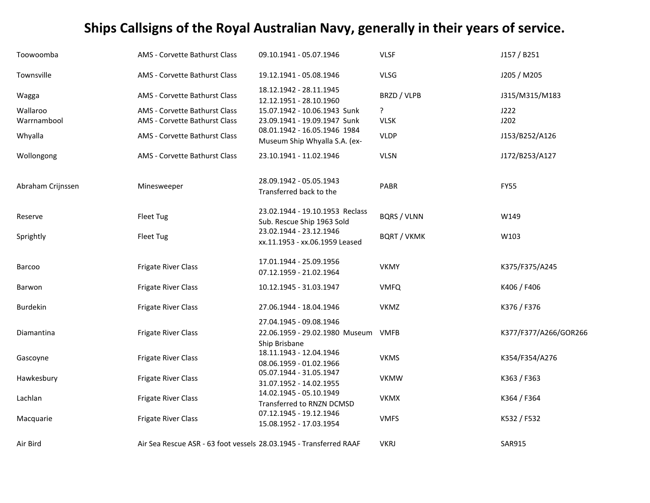| Toowoomba         | AMS - Corvette Bathurst Class | 09.10.1941 - 05.07.1946                                                    | <b>VLSF</b>        | J157 / B251           |
|-------------------|-------------------------------|----------------------------------------------------------------------------|--------------------|-----------------------|
| Townsville        | AMS - Corvette Bathurst Class | 19.12.1941 - 05.08.1946                                                    | <b>VLSG</b>        | J205 / M205           |
| Wagga             | AMS - Corvette Bathurst Class | 18.12.1942 - 28.11.1945<br>12.12.1951 - 28.10.1960                         | BRZD / VLPB        | J315/M315/M183        |
| Wallaroo          | AMS - Corvette Bathurst Class | 15.07.1942 - 10.06.1943 Sunk                                               | ?                  | J222                  |
| Warrnambool       | AMS - Corvette Bathurst Class | 23.09.1941 - 19.09.1947 Sunk                                               | <b>VLSK</b>        | J202                  |
| Whyalla           | AMS - Corvette Bathurst Class | 08.01.1942 - 16.05.1946 1984<br>Museum Ship Whyalla S.A. (ex-              | <b>VLDP</b>        | J153/B252/A126        |
| Wollongong        | AMS - Corvette Bathurst Class | 23.10.1941 - 11.02.1946                                                    | <b>VLSN</b>        | J172/B253/A127        |
| Abraham Crijnssen | Minesweeper                   | 28.09.1942 - 05.05.1943<br>Transferred back to the                         | PABR               | <b>FY55</b>           |
| Reserve           | Fleet Tug                     | 23.02.1944 - 19.10.1953 Reclass<br>Sub. Rescue Ship 1963 Sold              | <b>BQRS / VLNN</b> | W149                  |
| Sprightly         | Fleet Tug                     | 23.02.1944 - 23.12.1946<br>xx.11.1953 - xx.06.1959 Leased                  | <b>BQRT / VKMK</b> | W103                  |
| Barcoo            | <b>Frigate River Class</b>    | 17.01.1944 - 25.09.1956<br>07.12.1959 - 21.02.1964                         | <b>VKMY</b>        | K375/F375/A245        |
| Barwon            | Frigate River Class           | 10.12.1945 - 31.03.1947                                                    | <b>VMFQ</b>        | K406 / F406           |
| <b>Burdekin</b>   | <b>Frigate River Class</b>    | 27.06.1944 - 18.04.1946                                                    | <b>VKMZ</b>        | K376 / F376           |
| Diamantina        | Frigate River Class           | 27.04.1945 - 09.08.1946<br>22.06.1959 - 29.02.1980 Museum<br>Ship Brisbane | <b>VMFB</b>        | K377/F377/A266/GOR266 |
| Gascoyne          | <b>Frigate River Class</b>    | 18.11.1943 - 12.04.1946<br>08.06.1959 - 01.02.1966                         | <b>VKMS</b>        | K354/F354/A276        |
| Hawkesbury        | <b>Frigate River Class</b>    | 05.07.1944 - 31.05.1947<br>31.07.1952 - 14.02.1955                         | <b>VKMW</b>        | K363 / F363           |
| Lachlan           | <b>Frigate River Class</b>    | 14.02.1945 - 05.10.1949<br>Transferred to RNZN DCMSD                       | <b>VKMX</b>        | K364 / F364           |
| Macquarie         | <b>Frigate River Class</b>    | 07.12.1945 - 19.12.1946<br>15.08.1952 - 17.03.1954                         | <b>VMFS</b>        | K532 / F532           |
| Air Bird          |                               | Air Sea Rescue ASR - 63 foot vessels 28.03.1945 - Transferred RAAF         | <b>VKRJ</b>        | <b>SAR915</b>         |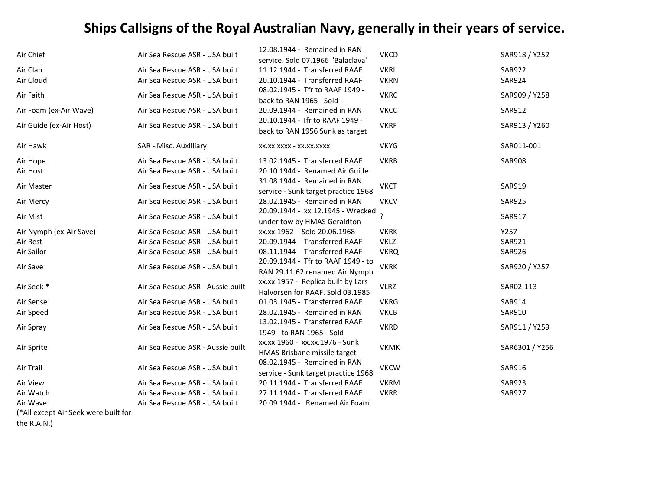| <b>SAR922</b><br><b>SAR924</b><br>SAR909 / Y258<br><b>SAR912</b><br>SAR913 / Y260<br>SAR011-001 |
|-------------------------------------------------------------------------------------------------|
|                                                                                                 |
|                                                                                                 |
|                                                                                                 |
|                                                                                                 |
|                                                                                                 |
|                                                                                                 |
| <b>SAR908</b>                                                                                   |
|                                                                                                 |
| <b>SAR919</b>                                                                                   |
| <b>SAR925</b>                                                                                   |
| <b>SAR917</b>                                                                                   |
| Y257                                                                                            |
| <b>SAR921</b>                                                                                   |
| <b>SAR926</b>                                                                                   |
| SAR920 / Y257                                                                                   |
| SAR02-113                                                                                       |
| <b>SAR914</b>                                                                                   |
| SAR910                                                                                          |
| SAR911 / Y259                                                                                   |
| SAR6301 / Y256                                                                                  |
| SAR916                                                                                          |
| <b>SAR923</b>                                                                                   |
| <b>SAR927</b>                                                                                   |
|                                                                                                 |
|                                                                                                 |

(\*All except Air Seek were built for

the R.A.N.)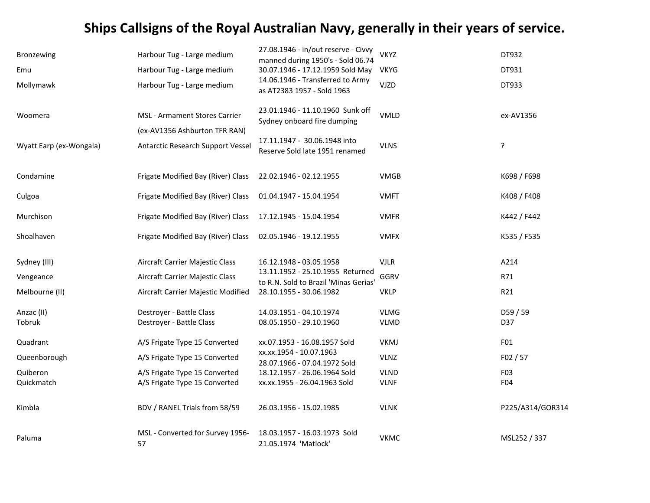| Bronzewing              | Harbour Tug - Large medium                                            | 27.08.1946 - in/out reserve - Civvy<br>manned during 1950's - Sold 06.74<br>30.07.1946 - 17.12.1959 Sold May | <b>VKYZ</b>                | DT932<br>DT931   |
|-------------------------|-----------------------------------------------------------------------|--------------------------------------------------------------------------------------------------------------|----------------------------|------------------|
| Emu<br>Mollymawk        | Harbour Tug - Large medium<br>Harbour Tug - Large medium              | 14.06.1946 - Transferred to Army<br>as AT2383 1957 - Sold 1963                                               | <b>VKYG</b><br><b>VJZD</b> | DT933            |
| Woomera                 | <b>MSL - Armament Stores Carrier</b><br>(ex-AV1356 Ashburton TFR RAN) | 23.01.1946 - 11.10.1960 Sunk off<br>Sydney onboard fire dumping                                              | <b>VMLD</b>                | ex-AV1356        |
| Wyatt Earp (ex-Wongala) | Antarctic Research Support Vessel                                     | 17.11.1947 - 30.06.1948 into<br>Reserve Sold late 1951 renamed                                               | <b>VLNS</b>                | ?                |
| Condamine               | Frigate Modified Bay (River) Class                                    | 22.02.1946 - 02.12.1955                                                                                      | <b>VMGB</b>                | K698 / F698      |
| Culgoa                  | Frigate Modified Bay (River) Class                                    | 01.04.1947 - 15.04.1954                                                                                      | <b>VMFT</b>                | K408 / F408      |
| Murchison               | Frigate Modified Bay (River) Class                                    | 17.12.1945 - 15.04.1954                                                                                      | <b>VMFR</b>                | K442 / F442      |
| Shoalhaven              | Frigate Modified Bay (River) Class                                    | 02.05.1946 - 19.12.1955                                                                                      | <b>VMFX</b>                | K535 / F535      |
| Sydney (III)            | Aircraft Carrier Majestic Class                                       | 16.12.1948 - 03.05.1958                                                                                      | <b>VJLR</b>                | A214             |
| Vengeance               | Aircraft Carrier Majestic Class                                       | 13.11.1952 - 25.10.1955 Returned<br>to R.N. Sold to Brazil 'Minas Gerias'                                    | GGRV                       | R71              |
| Melbourne (II)          | Aircraft Carrier Majestic Modified                                    | 28.10.1955 - 30.06.1982                                                                                      | <b>VKLP</b>                | R21              |
| Anzac (II)<br>Tobruk    | Destroyer - Battle Class<br>Destroyer - Battle Class                  | 14.03.1951 - 04.10.1974<br>08.05.1950 - 29.10.1960                                                           | <b>VLMG</b><br><b>VLMD</b> | D59 / 59<br>D37  |
| Quadrant                | A/S Frigate Type 15 Converted                                         | xx.07.1953 - 16.08.1957 Sold                                                                                 | <b>VKMJ</b>                | F01              |
| Queenborough            | A/S Frigate Type 15 Converted                                         | xx.xx.1954 - 10.07.1963<br>28.07.1966 - 07.04.1972 Sold                                                      | <b>VLNZ</b>                | F02 / 57         |
| Quiberon                | A/S Frigate Type 15 Converted                                         | 18.12.1957 - 26.06.1964 Sold                                                                                 | <b>VLND</b>                | F03              |
| Quickmatch              | A/S Frigate Type 15 Converted                                         | xx.xx.1955 - 26.04.1963 Sold                                                                                 | <b>VLNF</b>                | F04              |
| Kimbla                  | BDV / RANEL Trials from 58/59                                         | 26.03.1956 - 15.02.1985                                                                                      | <b>VLNK</b>                | P225/A314/GOR314 |
| Paluma                  | MSL - Converted for Survey 1956-<br>57                                | 18.03.1957 - 16.03.1973 Sold<br>21.05.1974 'Matlock'                                                         | <b>VKMC</b>                | MSL252 / 337     |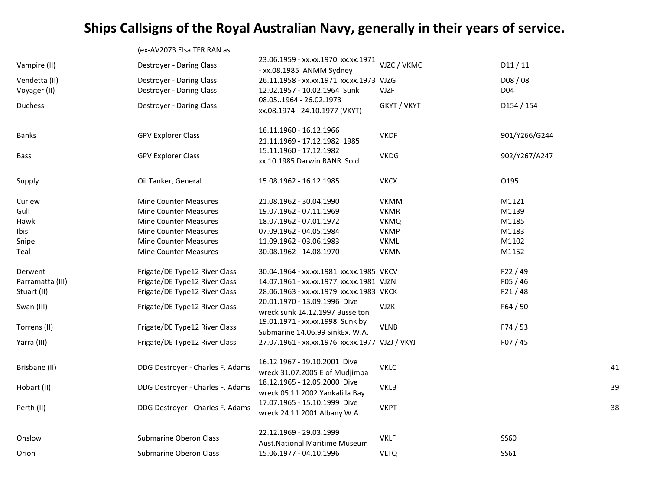|                  | (ex-AV2073 Elsa TFR RAN as       |                                                                    |             |                 |    |
|------------------|----------------------------------|--------------------------------------------------------------------|-------------|-----------------|----|
| Vampire (II)     | Destroyer - Daring Class         | 23.06.1959 - xx.xx.1970 xx.xx.1971<br>- xx.08.1985 ANMM Sydney     | VJZC / VKMC | D11/11          |    |
| Vendetta (II)    | Destroyer - Daring Class         | 26.11.1958 - xx.xx.1971 xx.xx.1973 VJZG                            |             | D08 / 08        |    |
| Voyager (II)     | Destroyer - Daring Class         | 12.02.1957 - 10.02.1964 Sunk                                       | <b>VJZF</b> | D <sub>04</sub> |    |
| <b>Duchess</b>   | Destroyer - Daring Class         | 08.051964 - 26.02.1973<br>xx.08.1974 - 24.10.1977 (VKYT)           | GKYT / VKYT | D154 / 154      |    |
| Banks            | <b>GPV Explorer Class</b>        | 16.11.1960 - 16.12.1966<br>21.11.1969 - 17.12.1982 1985            | <b>VKDF</b> | 901/Y266/G244   |    |
| Bass             | <b>GPV Explorer Class</b>        | 15.11.1960 - 17.12.1982<br>xx.10.1985 Darwin RANR Sold             | <b>VKDG</b> | 902/Y267/A247   |    |
| Supply           | Oil Tanker, General              | 15.08.1962 - 16.12.1985                                            | <b>VKCX</b> | 0195            |    |
| Curlew           | <b>Mine Counter Measures</b>     | 21.08.1962 - 30.04.1990                                            | <b>VKMM</b> | M1121           |    |
| Gull             | <b>Mine Counter Measures</b>     | 19.07.1962 - 07.11.1969                                            | <b>VKMR</b> | M1139           |    |
| Hawk             | <b>Mine Counter Measures</b>     | 18.07.1962 - 07.01.1972                                            | <b>VKMQ</b> | M1185           |    |
| Ibis             | <b>Mine Counter Measures</b>     | 07.09.1962 - 04.05.1984                                            | <b>VKMP</b> | M1183           |    |
| Snipe            | <b>Mine Counter Measures</b>     | 11.09.1962 - 03.06.1983                                            | <b>VKML</b> | M1102           |    |
| Teal             | <b>Mine Counter Measures</b>     | 30.08.1962 - 14.08.1970                                            | <b>VKMN</b> | M1152           |    |
| Derwent          | Frigate/DE Type12 River Class    | 30.04.1964 - xx.xx.1981 xx.xx.1985 VKCV                            |             | F22/49          |    |
| Parramatta (III) | Frigate/DE Type12 River Class    | 14.07.1961 - xx.xx.1977 xx.xx.1981 VJZN                            |             | F05/46          |    |
| Stuart (II)      | Frigate/DE Type12 River Class    | 28.06.1963 - xx.xx.1979 xx.xx.1983 VKCK                            |             | F21/48          |    |
| Swan (III)       | Frigate/DE Type12 River Class    | 20.01.1970 - 13.09.1996 Dive<br>wreck sunk 14.12.1997 Busselton    | <b>VJZK</b> | F64/50          |    |
| Torrens (II)     | Frigate/DE Type12 River Class    | 19.01.1971 - xx.xx.1998 Sunk by<br>Submarine 14.06.99 SinkEx. W.A. | <b>VLNB</b> | F74/53          |    |
| Yarra (III)      | Frigate/DE Type12 River Class    | 27.07.1961 - xx.xx.1976 xx.xx.1977 VJZJ / VKYJ                     |             | F07/45          |    |
| Brisbane (II)    | DDG Destroyer - Charles F. Adams | 16.12 1967 - 19.10.2001 Dive<br>wreck 31.07.2005 E of Mudjimba     | <b>VKLC</b> |                 | 41 |
| Hobart (II)      | DDG Destroyer - Charles F. Adams | 18.12.1965 - 12.05.2000 Dive<br>wreck 05.11.2002 Yankalilla Bay    | <b>VKLB</b> |                 | 39 |
| Perth (II)       | DDG Destroyer - Charles F. Adams | 17.07.1965 - 15.10.1999 Dive<br>wreck 24.11.2001 Albany W.A.       | <b>VKPT</b> |                 | 38 |
| Onslow           | Submarine Oberon Class           | 22.12.1969 - 29.03.1999                                            | <b>VKLF</b> | <b>SS60</b>     |    |
| Orion            | Submarine Oberon Class           | <b>Aust.National Maritime Museum</b><br>15.06.1977 - 04.10.1996    | <b>VLTQ</b> | SS61            |    |
|                  |                                  |                                                                    |             |                 |    |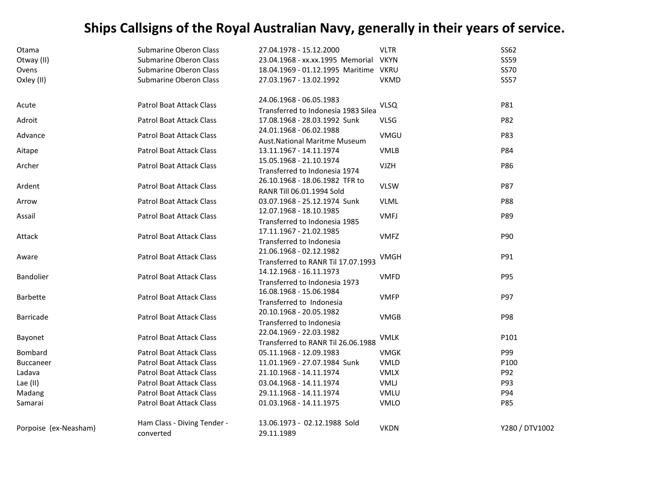| Otama                 | <b>Submarine Oberon Class</b>   | 27.04.1978 - 15.12.2000               | <b>VLTR</b> | SS62           |
|-----------------------|---------------------------------|---------------------------------------|-------------|----------------|
| Otway (II)            | <b>Submarine Oberon Class</b>   | 23.04.1968 - xx.xx.1995 Memorial      | <b>VKYN</b> | <b>SS59</b>    |
| Ovens                 | <b>Submarine Oberon Class</b>   | 18.04.1969 - 01.12.1995 Maritime VKRU |             | <b>SS70</b>    |
| Oxley (II)            | <b>Submarine Oberon Class</b>   | 27.03.1967 - 13.02.1992               | <b>VKMD</b> | <b>SS57</b>    |
| Acute                 | Patrol Boat Attack Class        | 24.06.1968 - 06.05.1983               | <b>VLSQ</b> | P81            |
|                       |                                 | Transferred to Indonesia 1983 Silea   |             |                |
| Adroit                | <b>Patrol Boat Attack Class</b> | 17.08.1968 - 28.03.1992 Sunk          | <b>VLSG</b> | P82            |
| Advance               | Patrol Boat Attack Class        | 24.01.1968 - 06.02.1988               | VMGU        | P83            |
|                       |                                 | <b>Aust.National Maritme Museum</b>   |             |                |
| Aitape                | <b>Patrol Boat Attack Class</b> | 13.11.1967 - 14.11.1974               | <b>VMLB</b> | P84            |
| Archer                | Patrol Boat Attack Class        | 15.05.1968 - 21.10.1974               | <b>VJZH</b> | P86            |
|                       |                                 | Transferred to Indonesia 1974         |             |                |
| Ardent                | <b>Patrol Boat Attack Class</b> | 26.10.1968 - 18.06.1982 TFR to        | <b>VLSW</b> | P87            |
|                       |                                 | RANR Till 06.01.1994 Sold             |             |                |
| Arrow                 | <b>Patrol Boat Attack Class</b> | 03.07.1968 - 25.12.1974 Sunk          | <b>VLML</b> | P88            |
| Assail                | Patrol Boat Attack Class        | 12.07.1968 - 18.10.1985               | <b>VMFJ</b> | P89            |
|                       |                                 | Transferred to Indonesia 1985         |             |                |
| Attack                | Patrol Boat Attack Class        | 17.11.1967 - 21.02.1985               | <b>VMFZ</b> | P90            |
|                       |                                 | Transferred to Indonesia              |             |                |
|                       | Patrol Boat Attack Class        | 21.06.1968 - 02.12.1982               | VMGH        | P91            |
| Aware                 |                                 | Transferred to RANR Til 17.07.1993    |             |                |
| Bandolier             | Patrol Boat Attack Class        | 14.12.1968 - 16.11.1973               | <b>VMFD</b> | P95            |
|                       |                                 | Transferred to Indonesia 1973         |             |                |
| <b>Barbette</b>       | <b>Patrol Boat Attack Class</b> | 16.08.1968 - 15.06.1984               | <b>VMFP</b> | P97            |
|                       |                                 | Transferred to Indonesia              |             |                |
| <b>Barricade</b>      | Patrol Boat Attack Class        | 20.10.1968 - 20.05.1982               | <b>VMGB</b> | P98            |
|                       |                                 | Transferred to Indonesia              |             |                |
|                       | <b>Patrol Boat Attack Class</b> | 22.04.1969 - 22.03.1982               |             | P101           |
| Bayonet               |                                 | Transferred to RANR Til 26.06.1988    | <b>VMLK</b> |                |
| Bombard               | <b>Patrol Boat Attack Class</b> | 05.11.1968 - 12.09.1983               | <b>VMGK</b> | P99            |
| Buccaneer             | <b>Patrol Boat Attack Class</b> | 11.01.1969 - 27.07.1984 Sunk          | <b>VMLD</b> | P100           |
| Ladava                | <b>Patrol Boat Attack Class</b> | 21.10.1968 - 14.11.1974               | <b>VMLX</b> | P92            |
| Lae (II)              | <b>Patrol Boat Attack Class</b> | 03.04.1968 - 14.11.1974               | VMLJ        | P93            |
| Madang                | Patrol Boat Attack Class        | 29.11.1968 - 14.11.1974               | <b>VMLU</b> | P94            |
| Samarai               | Patrol Boat Attack Class        | 01.03.1968 - 14.11.1975               | <b>VMLO</b> | P85            |
| Porpoise (ex-Neasham) | Ham Class - Diving Tender -     | 13.06.1973 - 02.12.1988 Sold          | <b>VKDN</b> | Y280 / DTV1002 |
|                       | converted                       | 29.11.1989                            |             |                |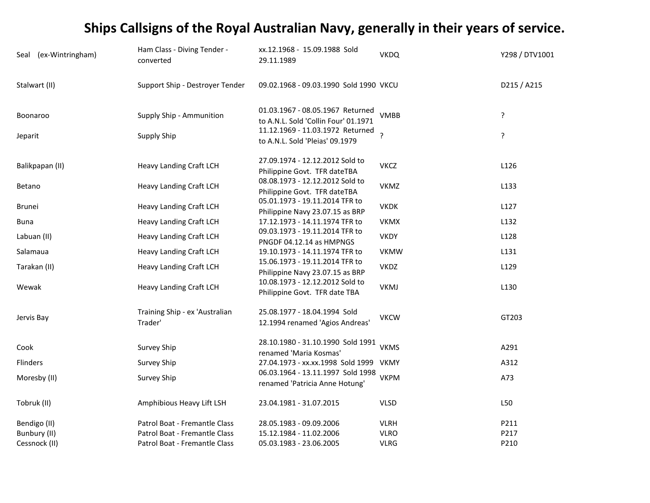| Seal (ex-Wintringham) | Ham Class - Diving Tender -<br>converted  | xx.12.1968 - 15.09.1988 Sold<br>29.11.1989                               | <b>VKDQ</b> | Y298 / DTV1001   |
|-----------------------|-------------------------------------------|--------------------------------------------------------------------------|-------------|------------------|
| Stalwart (II)         | Support Ship - Destroyer Tender           | 09.02.1968 - 09.03.1990 Sold 1990 VKCU                                   |             | D215 / A215      |
| Boonaroo              | Supply Ship - Ammunition                  | 01.03.1967 - 08.05.1967 Returned<br>to A.N.L. Sold 'Collin Four' 01.1971 | <b>VMBB</b> | ?                |
| Jeparit               | <b>Supply Ship</b>                        | 11.12.1969 - 11.03.1972 Returned<br>to A.N.L. Sold 'Pleias' 09.1979      |             | ?                |
| Balikpapan (II)       | <b>Heavy Landing Craft LCH</b>            | 27.09.1974 - 12.12.2012 Sold to<br>Philippine Govt. TFR dateTBA          | <b>VKCZ</b> | L126             |
| Betano                | Heavy Landing Craft LCH                   | 08.08.1973 - 12.12.2012 Sold to<br>Philippine Govt. TFR dateTBA          | <b>VKMZ</b> | L133             |
| <b>Brunei</b>         | Heavy Landing Craft LCH                   | 05.01.1973 - 19.11.2014 TFR to<br>Philippine Navy 23.07.15 as BRP        | <b>VKDK</b> | L127             |
| Buna                  | Heavy Landing Craft LCH                   | 17.12.1973 - 14.11.1974 TFR to                                           | <b>VKMX</b> | L132             |
| Labuan (II)           | <b>Heavy Landing Craft LCH</b>            | 09.03.1973 - 19.11.2014 TFR to<br>PNGDF 04.12.14 as HMPNGS               | <b>VKDY</b> | L128             |
| Salamaua              | <b>Heavy Landing Craft LCH</b>            | 19.10.1973 - 14.11.1974 TFR to                                           | <b>VKMW</b> | L131             |
| Tarakan (II)          | Heavy Landing Craft LCH                   | 15.06.1973 - 19.11.2014 TFR to<br>Philippine Navy 23.07.15 as BRP        | <b>VKDZ</b> | L <sub>129</sub> |
| Wewak                 | <b>Heavy Landing Craft LCH</b>            | 10.08.1973 - 12.12.2012 Sold to<br>Philippine Govt. TFR date TBA         | <b>VKMJ</b> | L130             |
| Jervis Bay            | Training Ship - ex 'Australian<br>Trader' | 25.08.1977 - 18.04.1994 Sold<br>12.1994 renamed 'Agios Andreas'          | <b>VKCW</b> | GT203            |
| Cook                  | Survey Ship                               | 28.10.1980 - 31.10.1990 Sold 1991<br>renamed 'Maria Kosmas'              | <b>VKMS</b> | A291             |
| Flinders              | Survey Ship                               | 27.04.1973 - xx.xx.1998 Sold 1999 VKMY                                   |             | A312             |
| Moresby (II)          | Survey Ship                               | 06.03.1964 - 13.11.1997 Sold 1998<br>renamed 'Patricia Anne Hotung'      | <b>VKPM</b> | A73              |
| Tobruk (II)           | Amphibious Heavy Lift LSH                 | 23.04.1981 - 31.07.2015                                                  | <b>VLSD</b> | L50              |
| Bendigo (II)          | Patrol Boat - Fremantle Class             | 28.05.1983 - 09.09.2006                                                  | <b>VLRH</b> | P211             |
| Bunbury (II)          | Patrol Boat - Fremantle Class             | 15.12.1984 - 11.02.2006                                                  | <b>VLRO</b> | P217             |
| Cessnock (II)         | Patrol Boat - Fremantle Class             | 05.03.1983 - 23.06.2005                                                  | <b>VLRG</b> | P210             |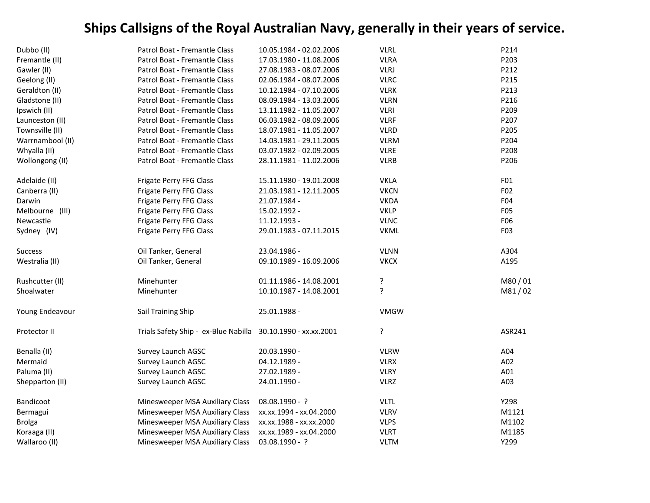| Dubbo (II)       | Patrol Boat - Fremantle Class                                | 10.05.1984 - 02.02.2006 | <b>VLRL</b> | P214             |
|------------------|--------------------------------------------------------------|-------------------------|-------------|------------------|
| Fremantle (II)   | Patrol Boat - Fremantle Class                                | 17.03.1980 - 11.08.2006 | <b>VLRA</b> | P203             |
| Gawler (II)      | Patrol Boat - Fremantle Class                                | 27.08.1983 - 08.07.2006 | <b>VLRJ</b> | P212             |
| Geelong (II)     | Patrol Boat - Fremantle Class                                | 02.06.1984 - 08.07.2006 | <b>VLRC</b> | P215             |
| Geraldton (II)   | Patrol Boat - Fremantle Class                                | 10.12.1984 - 07.10.2006 | <b>VLRK</b> | P213             |
| Gladstone (II)   | Patrol Boat - Fremantle Class                                | 08.09.1984 - 13.03.2006 | <b>VLRN</b> | P216             |
| Ipswich (II)     | Patrol Boat - Fremantle Class                                | 13.11.1982 - 11.05.2007 | <b>VLRI</b> | P209             |
| Launceston (II)  | Patrol Boat - Fremantle Class                                | 06.03.1982 - 08.09.2006 | <b>VLRF</b> | P207             |
| Townsville (II)  | Patrol Boat - Fremantle Class                                | 18.07.1981 - 11.05.2007 | <b>VLRD</b> | P205             |
| Warrnambool (II) | Patrol Boat - Fremantle Class                                | 14.03.1981 - 29.11.2005 | <b>VLRM</b> | P204             |
| Whyalla (II)     | Patrol Boat - Fremantle Class                                | 03.07.1982 - 02.09.2005 | <b>VLRE</b> | P208             |
| Wollongong (II)  | Patrol Boat - Fremantle Class                                | 28.11.1981 - 11.02.2006 | <b>VLRB</b> | P206             |
| Adelaide (II)    | Frigate Perry FFG Class                                      | 15.11.1980 - 19.01.2008 | <b>VKLA</b> | F01              |
| Canberra (II)    | Frigate Perry FFG Class                                      | 21.03.1981 - 12.11.2005 | <b>VKCN</b> | F02              |
| Darwin           | Frigate Perry FFG Class                                      | 21.07.1984 -            | <b>VKDA</b> | F04              |
| Melbourne (III)  | Frigate Perry FFG Class                                      | 15.02.1992 -            | <b>VKLP</b> | F05              |
| Newcastle        | Frigate Perry FFG Class                                      | 11.12.1993 -            | <b>VLNC</b> | F06              |
| Sydney (IV)      | Frigate Perry FFG Class                                      | 29.01.1983 - 07.11.2015 | <b>VKML</b> | F <sub>0</sub> 3 |
| <b>Success</b>   | Oil Tanker, General                                          | 23.04.1986 -            | <b>VLNN</b> | A304             |
| Westralia (II)   | Oil Tanker, General                                          | 09.10.1989 - 16.09.2006 | <b>VKCX</b> | A195             |
| Rushcutter (II)  | Minehunter                                                   | 01.11.1986 - 14.08.2001 | ?           | M80/01           |
| Shoalwater       | Minehunter                                                   | 10.10.1987 - 14.08.2001 | ?           | M81/02           |
| Young Endeavour  | Sail Training Ship                                           | 25.01.1988 -            | <b>VMGW</b> |                  |
| Protector II     | Trials Safety Ship - ex-Blue Nabilla 30.10.1990 - xx.xx.2001 |                         | ç.          | ASR241           |
| Benalla (II)     | Survey Launch AGSC                                           | 20.03.1990 -            | <b>VLRW</b> | A04              |
| Mermaid          | Survey Launch AGSC                                           | 04.12.1989 -            | <b>VLRX</b> | A02              |
| Paluma (II)      | Survey Launch AGSC                                           | 27.02.1989 -            | <b>VLRY</b> | A01              |
| Shepparton (II)  | Survey Launch AGSC                                           | 24.01.1990 -            | <b>VLRZ</b> | A03              |
| Bandicoot        | Minesweeper MSA Auxiliary Class                              | 08.08.1990 - ?          | <b>VLTL</b> | Y298             |
| Bermagui         | Minesweeper MSA Auxiliary Class                              | xx.xx.1994 - xx.04.2000 | <b>VLRV</b> | M1121            |
| <b>Brolga</b>    | Minesweeper MSA Auxiliary Class                              | xx.xx.1988 - xx.xx.2000 | <b>VLPS</b> | M1102            |
| Koraaga (II)     | Minesweeper MSA Auxiliary Class                              | xx.xx.1989 - xx.04.2000 | <b>VLRT</b> | M1185            |
| Wallaroo (II)    | Minesweeper MSA Auxiliary Class                              | 03.08.1990 - ?          | <b>VLTM</b> | Y299             |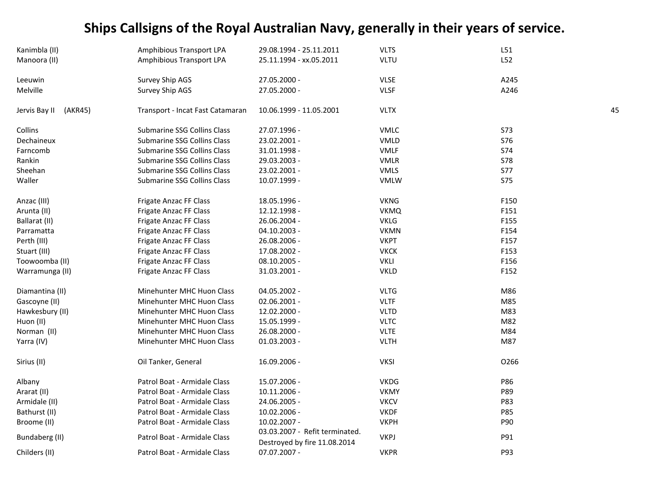| Kanimbla (II)            | Amphibious Transport LPA         | 29.08.1994 - 25.11.2011                                        | <b>VLTS</b> | L51        |    |
|--------------------------|----------------------------------|----------------------------------------------------------------|-------------|------------|----|
| Manoora (II)             | Amphibious Transport LPA         | 25.11.1994 - xx.05.2011                                        | <b>VLTU</b> | L52        |    |
| Leeuwin                  | Survey Ship AGS                  | 27.05.2000 -                                                   | <b>VLSE</b> | A245       |    |
| Melville                 | Survey Ship AGS                  | 27.05.2000 -                                                   | <b>VLSF</b> | A246       |    |
| Jervis Bay II<br>(AKR45) | Transport - Incat Fast Catamaran | 10.06.1999 - 11.05.2001                                        | <b>VLTX</b> |            | 45 |
| Collins                  | Submarine SSG Collins Class      | 27.07.1996 -                                                   | <b>VMLC</b> | <b>S73</b> |    |
| Dechaineux               | Submarine SSG Collins Class      | 23.02.2001 -                                                   | <b>VMLD</b> | <b>S76</b> |    |
| Farncomb                 | Submarine SSG Collins Class      | 31.01.1998 -                                                   | <b>VMLF</b> | <b>S74</b> |    |
| Rankin                   | Submarine SSG Collins Class      | 29.03.2003 -                                                   | <b>VMLR</b> | <b>S78</b> |    |
| Sheehan                  | Submarine SSG Collins Class      | 23.02.2001 -                                                   | <b>VMLS</b> | <b>S77</b> |    |
| Waller                   | Submarine SSG Collins Class      | 10.07.1999 -                                                   | <b>VMLW</b> | <b>S75</b> |    |
| Anzac (III)              | Frigate Anzac FF Class           | 18.05.1996 -                                                   | <b>VKNG</b> | F150       |    |
| Arunta (II)              | Frigate Anzac FF Class           | 12.12.1998 -                                                   | <b>VKMQ</b> | F151       |    |
| Ballarat (II)            | Frigate Anzac FF Class           | 26.06.2004 -                                                   | <b>VKLG</b> | F155       |    |
| Parramatta               | Frigate Anzac FF Class           | 04.10.2003 -                                                   | <b>VKMN</b> | F154       |    |
| Perth (III)              | Frigate Anzac FF Class           | 26.08.2006 -                                                   | <b>VKPT</b> | F157       |    |
| Stuart (III)             | Frigate Anzac FF Class           | 17.08.2002 -                                                   | <b>VKCK</b> | F153       |    |
| Toowoomba (II)           | Frigate Anzac FF Class           | 08.10.2005 -                                                   | <b>VKLI</b> | F156       |    |
| Warramunga (II)          | Frigate Anzac FF Class           | 31.03.2001 -                                                   | <b>VKLD</b> | F152       |    |
| Diamantina (II)          | Minehunter MHC Huon Class        | 04.05.2002 -                                                   | <b>VLTG</b> | M86        |    |
| Gascoyne (II)            | <b>Minehunter MHC Huon Class</b> | 02.06.2001 -                                                   | <b>VLTF</b> | M85        |    |
| Hawkesbury (II)          | Minehunter MHC Huon Class        | 12.02.2000 -                                                   | <b>VLTD</b> | M83        |    |
| Huon (II)                | Minehunter MHC Huon Class        | 15.05.1999 -                                                   | <b>VLTC</b> | M82        |    |
| Norman (II)              | Minehunter MHC Huon Class        | 26.08.2000 -                                                   | <b>VLTE</b> | M84        |    |
| Yarra (IV)               | Minehunter MHC Huon Class        | 01.03.2003 -                                                   | <b>VLTH</b> | M87        |    |
| Sirius (II)              | Oil Tanker, General              | 16.09.2006 -                                                   | <b>VKSI</b> | O266       |    |
| Albany                   | Patrol Boat - Armidale Class     | 15.07.2006 -                                                   | <b>VKDG</b> | P86        |    |
| Ararat (II)              | Patrol Boat - Armidale Class     | 10.11.2006 -                                                   | <b>VKMY</b> | P89        |    |
| Armidale (II)            | Patrol Boat - Armidale Class     | 24.06.2005 -                                                   | <b>VKCV</b> | P83        |    |
| Bathurst (II)            | Patrol Boat - Armidale Class     | 10.02.2006 -                                                   | <b>VKDF</b> | P85        |    |
| Broome (II)              | Patrol Boat - Armidale Class     | 10.02.2007 -                                                   | <b>VKPH</b> | P90        |    |
| Bundaberg (II)           | Patrol Boat - Armidale Class     | 03.03.2007 - Refit terminated.<br>Destroyed by fire 11.08.2014 | <b>VKPJ</b> | P91        |    |
| Childers (II)            | Patrol Boat - Armidale Class     | 07.07.2007 -                                                   | <b>VKPR</b> | P93        |    |